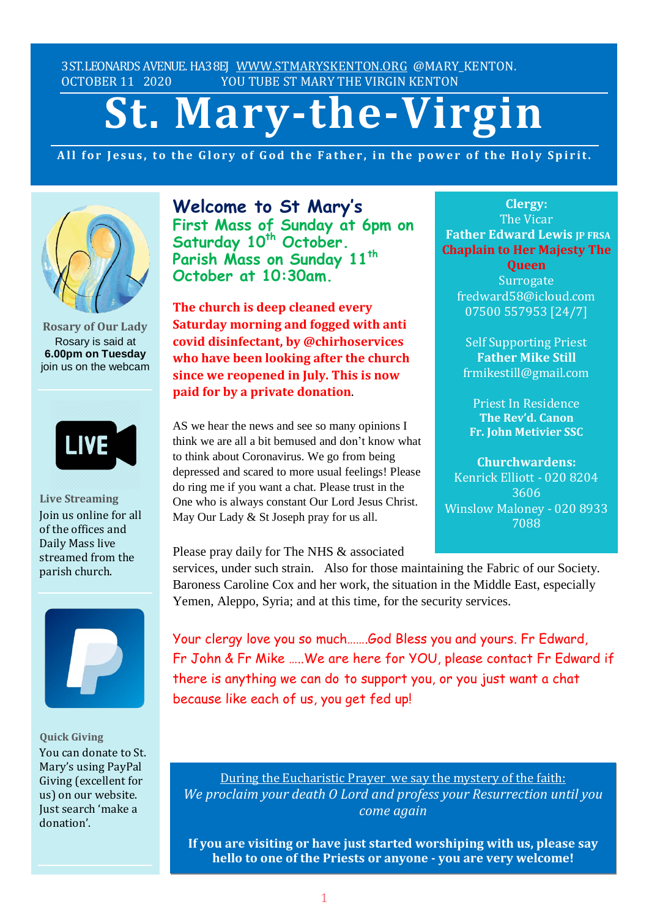3ST.LEONARDS AVENUE. HA38EJ [WWW.STMARYSKENTON.ORG](http://www.stmaryskenton.org/) @MARY\_KENTON. OCTOBER 11 2020 YOU TUBE ST MARY THE VIRGIN KENTON

# **St. Mary-the-Virgin**

All for Jesus, to the Glory of God the Father, in the power of the Holy Spirit.



**Rosary of Our Lady** Rosary is said at **6.00pm on Tuesday** join us on the webcam



**Live Streaming** Join us online for all of the offices and Daily Mass live streamed from the parish church.



**Quick Giving** You can donate to St. Mary's using PayPal Giving (excellent for us) on our website. Just search 'make a donation'.

**Welcome to St Mary's First Mass of Sunday at 6pm on Saturday 10th October. Parish Mass on Sunday 11th October at 10:30am.**

**The church is deep cleaned every Saturday morning and fogged with anti covid disinfectant, by @chirhoservices who have been looking after the church since we reopened in July. This is now paid for by a private donation**.

AS we hear the news and see so many opinions I think we are all a bit bemused and don't know what to think about Coronavirus. We go from being depressed and scared to more usual feelings! Please do ring me if you want a chat. Please trust in the One who is always constant Our Lord Jesus Christ. May Our Lady & St Joseph pray for us all.

Please pray daily for The NHS & associated

services, under such strain. Also for those maintaining the Fabric of our Society. Baroness Caroline Cox and her work, the situation in the Middle East, especially Yemen, Aleppo, Syria; and at this time, for the security services. *ng* the Fabric of our Society.

Your clergy love you so much…….God Bless you and yours. Fr Edward, Fr John & Fr Mike …..We are here for YOU, please contact Fr Edward if there is anything we can do to support you, or you just want a chat because like each of us, you get fed up!

During the Eucharistic Prayer we say the mystery of the faith: *We proclaim your death O Lord and profess your Resurrection until you come again*

**If you are visiting or have just started worshiping with us, please say hello to one of the Priests or anyone - you are very welcome!**

**Clergy:** The Vicar **Father Edward Lewis IP FRSA Chaplain to Her Majesty The**

**Queen Surrogate** fredward58@icloud.com 07500 557953 [24/7]

Self Supporting Priest **Father Mike Still** frmikestill@gmail.com

Priest In Residence **The Rev'd. Canon Fr. John Metivier SSC**

**Churchwardens:** Kenrick Elliott - 020 8204 3606 Winslow Maloney - 020 8933 7088

*Please let Fr. Edward know*